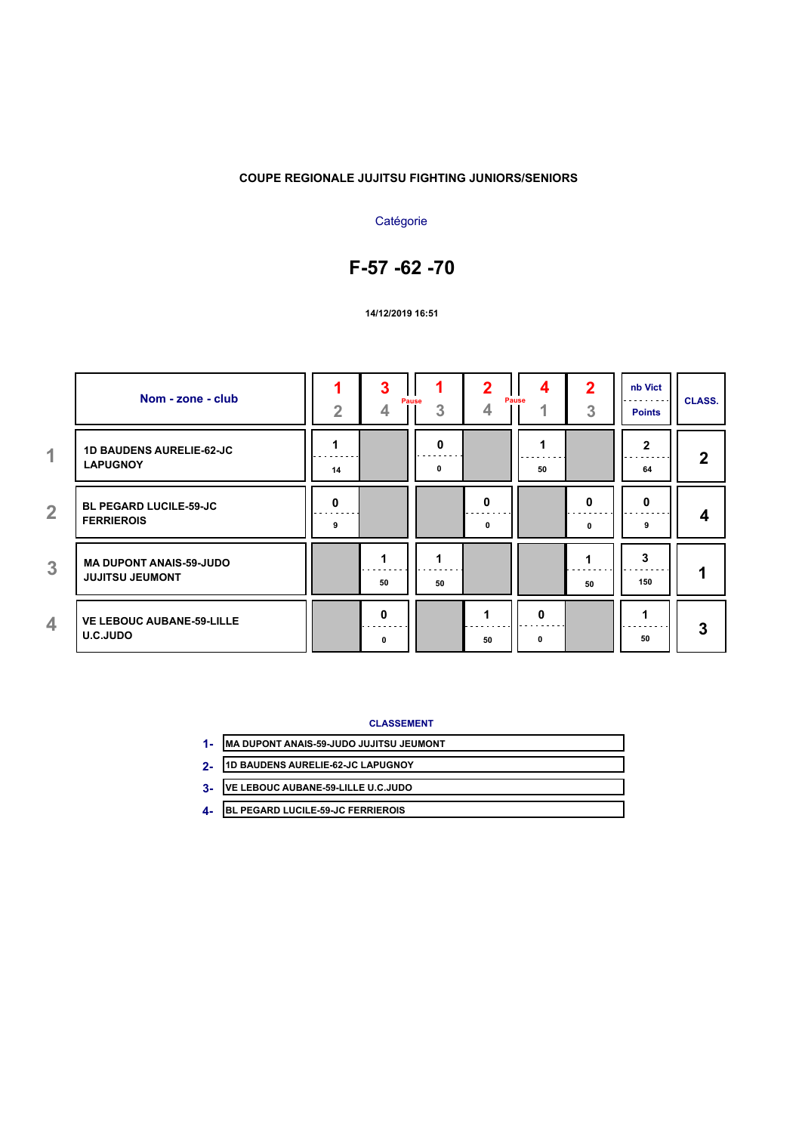## **Catégorie**

## **F-57 -62 -70**

#### **14/12/2019 16:51**

|                | Nom - zone - club                                        | $\overline{2}$                            | 3             | Pause<br>3  | 4      | 4<br>Pause<br>4                                                                                                                            | 2<br>3 | nb Vict<br><b>Points</b> | <b>CLASS.</b> |
|----------------|----------------------------------------------------------|-------------------------------------------|---------------|-------------|--------|--------------------------------------------------------------------------------------------------------------------------------------------|--------|--------------------------|---------------|
| $\overline{1}$ | <b>1D BAUDENS AURELIE-62-JC</b><br><b>LAPUGNOY</b>       | 14                                        |               | 0<br>.<br>0 |        | $\mathcal{L}^{\mathcal{A}}\left( \mathcal{A}^{\mathcal{A}}\right) =\mathcal{L}^{\mathcal{A}}\left( \mathcal{A}^{\mathcal{A}}\right)$<br>50 |        | $\mathbf{2}$<br>64       | $\mathbf{2}$  |
| $\overline{2}$ | <b>BL PEGARD LUCILE-59-JC</b><br><b>FERRIEROIS</b>       | $\mathbf{0}$<br>$\sim$ $\sim$ $\sim$<br>9 |               |             | O<br>0 |                                                                                                                                            | 0<br>0 | 0<br>9                   | 4             |
| $\overline{3}$ | <b>MA DUPONT ANAIS-59-JUDO</b><br><b>JUJITSU JEUMONT</b> |                                           | 50            | 50          |        |                                                                                                                                            | 50     | 3<br>150                 |               |
| 4              | <b>VE LEBOUC AUBANE-59-LILLE</b><br><b>U.C.JUDO</b>      |                                           | $\Omega$<br>0 |             | 50     | 0<br>0                                                                                                                                     |        | 50                       | 3             |

- **MA DUPONT ANAIS-59-JUDO JUJITSU JEUMONT 1-**
- **1D BAUDENS AURELIE-62-JC LAPUGNOY 2-**
- **VE LEBOUC AUBANE-59-LILLE U.C.JUDO 3-**
- **BL PEGARD LUCILE-59-JC FERRIEROIS 4-**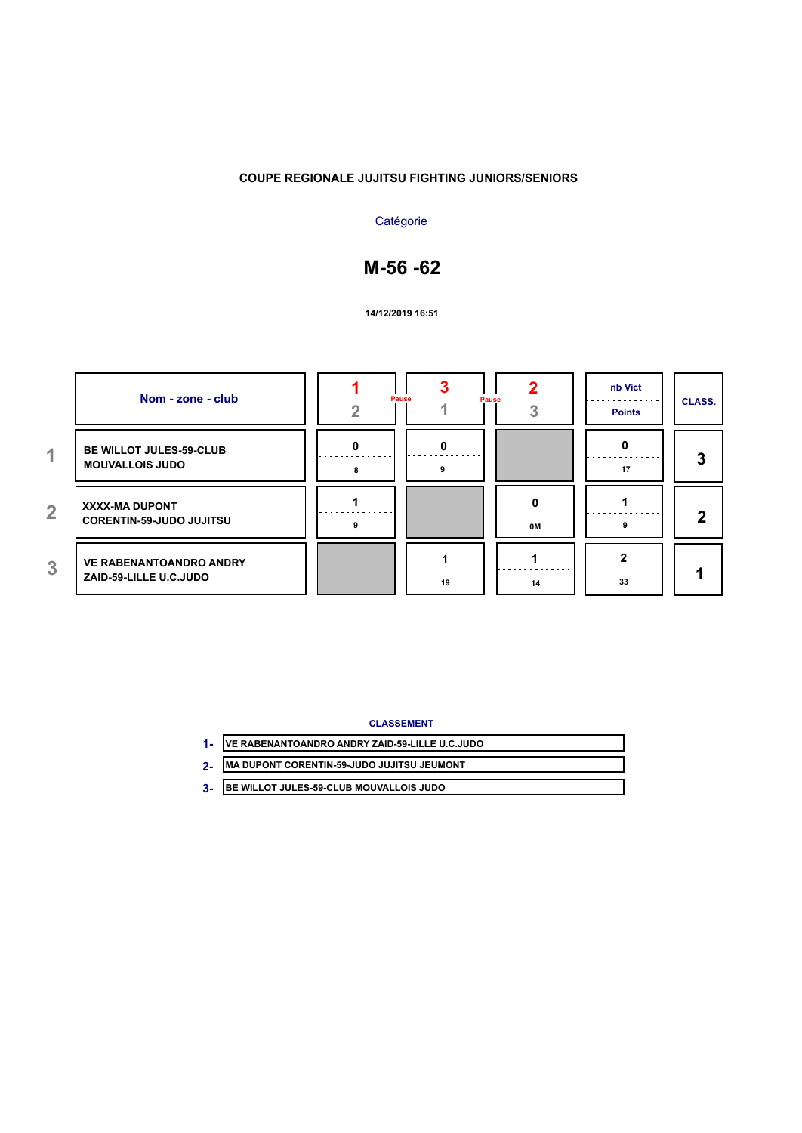## **Catégorie**

# **M-56 -62**

**14/12/2019 16:51**

|                | Nom - zone - club                                        | Pause<br>Pause |    | nb Vict<br><b>Points</b> | <b>CLASS.</b> |
|----------------|----------------------------------------------------------|----------------|----|--------------------------|---------------|
| 4.             | BE WILLOT JULES-59-CLUB<br><b>MOUVALLOIS JUDO</b>        | a              |    | 17                       | 3             |
| $\overline{2}$ | XXXX-MA DUPONT<br><b>CORENTIN-59-JUDO JUJITSU</b>        |                | 0M |                          | າ             |
| 3              | <b>VE RABENANTOANDRO ANDRY</b><br>ZAID-59-LILLE U.C.JUDO | 19             | 14 | 33                       |               |

**CLASSEMENT**

| VE RABENANTOANDRO ANDRY ZAID-59-LILLE U.C.JUDO |
|------------------------------------------------|
| 2. MA DUPONT CORENTIN-59-JUDO JUJITSU JEUMONT  |

**BE WILLOT JULES-59-CLUB MOUVALLOIS JUDO 3-**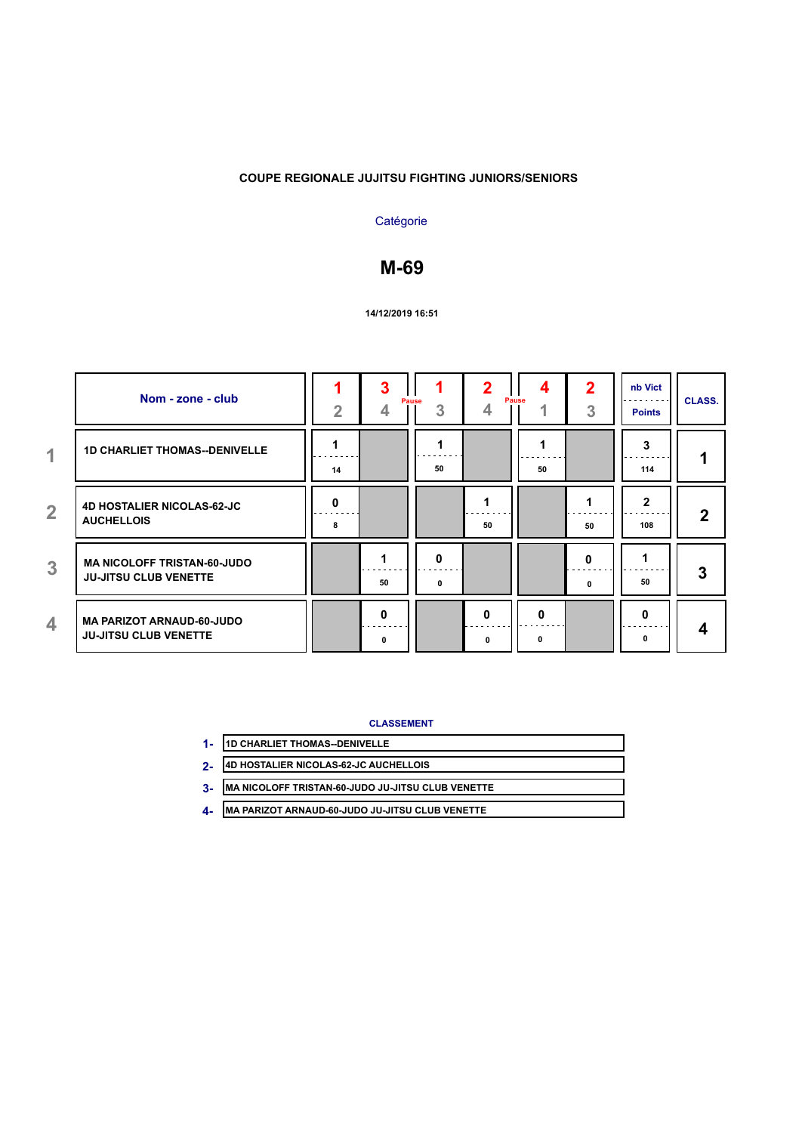## **Catégorie**

# **M-69**

#### **14/12/2019 16:51**

|                | Nom - zone - club                                                  | $\overline{2}$ |        | Pause<br>3 | 4             | Pause<br>4        | 2<br>3 | nb Vict<br><b>Points</b> | <b>CLASS.</b> |
|----------------|--------------------------------------------------------------------|----------------|--------|------------|---------------|-------------------|--------|--------------------------|---------------|
| $\overline{1}$ | <b>1D CHARLIET THOMAS--DENIVELLE</b>                               | 14             |        | 50         |               | ---<br>50         |        | 3<br>114                 |               |
| $\overline{2}$ | <b>4D HOSTALIER NICOLAS-62-JC</b><br><b>AUCHELLOIS</b>             | 0<br>8         |        |            | 50            |                   | 50     | $\mathbf{2}$<br>108      | 2             |
| 3              | <b>MA NICOLOFF TRISTAN-60-JUDO</b><br><b>JU-JITSU CLUB VENETTE</b> |                | 50     | 0<br>0     |               |                   | 0<br>0 | 50                       | 3             |
| 4              | <b>MA PARIZOT ARNAUD-60-JUDO</b><br><b>JU-JITSU CLUB VENETTE</b>   |                | O<br>0 |            | $\Omega$<br>0 | $\mathbf{0}$<br>0 |        | $\Omega$<br>0            | 4             |

| 1D CHARLIET THOMAS--DENIVELLE         |
|---------------------------------------|
| 4D HOSTALIER NICOLAS-62-JC AUCHELLOIS |
|                                       |

- **MA NICOLOFF TRISTAN-60-JUDO JU-JITSU CLUB VENETTE 3-**
- **MA PARIZOT ARNAUD-60-JUDO JU-JITSU CLUB VENETTE 4-**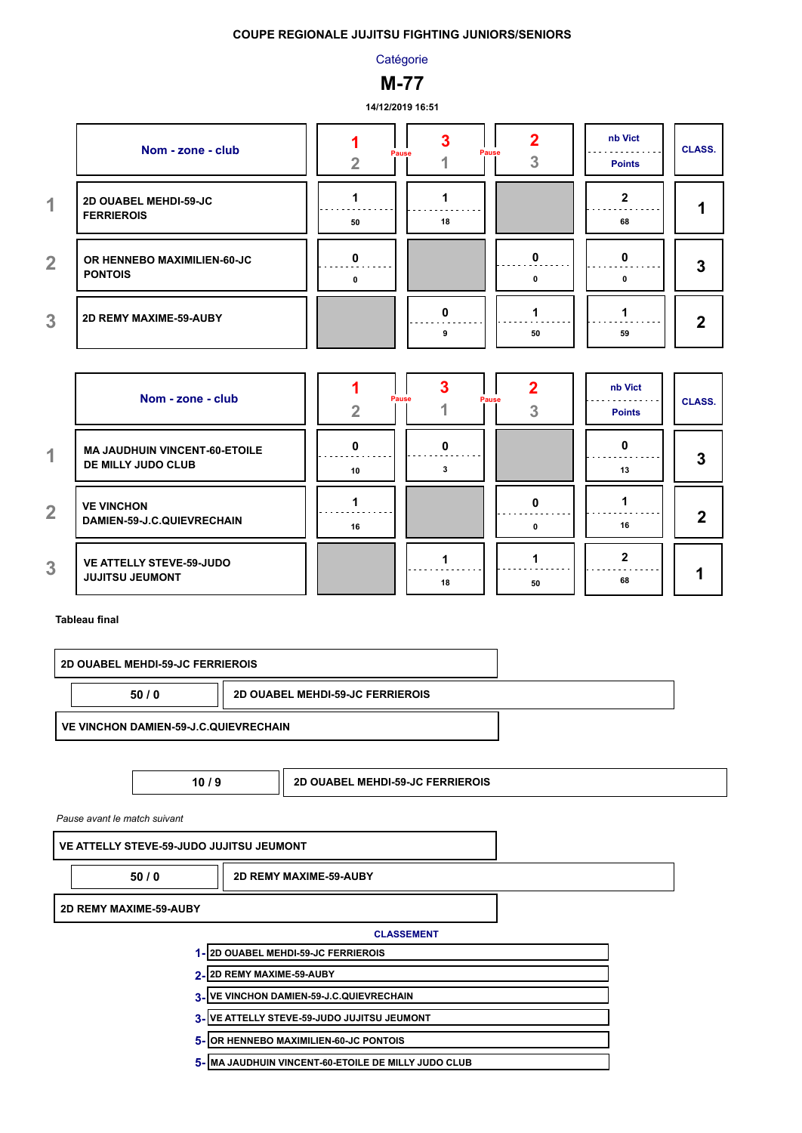### **Catégorie**

## **M-77**

#### **14/12/2019 16:51**

|                      | Nom - zone - club                             |    | Pause | Pause | nb Vict<br><b>Points</b> | <b>CLASS.</b> |
|----------------------|-----------------------------------------------|----|-------|-------|--------------------------|---------------|
| $\blacktriangleleft$ | 2D OUABEL MEHDI-59-JC<br><b>FERRIEROIS</b>    | 50 | 18    |       | 68                       |               |
| $\overline{2}$       | OR HENNEBO MAXIMILIEN-60-JC<br><b>PONTOIS</b> | n  |       |       | o                        | 3             |
| 3                    | 2D REMY MAXIME-59-AUBY                        |    |       | 50    | 59                       | 2             |

|                          | Nom - zone - club                                          |    | Pause<br>Pause |    | nb Vict<br><b>Points</b> | <b>CLASS.</b> |
|--------------------------|------------------------------------------------------------|----|----------------|----|--------------------------|---------------|
| $\overline{\mathcal{A}}$ | <b>MA JAUDHUIN VINCENT-60-ETOILE</b><br>DE MILLY JUDO CLUB | 10 |                |    | 13                       | 3             |
| $\overline{2}$           | <b>VE VINCHON</b><br>DAMIEN-59-J.C.QUIEVRECHAIN            | 16 |                |    | 16                       | ŋ             |
| 3                        | <b>VE ATTELLY STEVE-59-JUDO</b><br><b>JUJITSU JEUMONT</b>  |    | 18             | 50 | 68                       |               |

#### **Tableau final**

|                                                 | <b>2D OUABEL MEHDI-59-JC FERRIEROIS</b>      |  |                                         |  |
|-------------------------------------------------|----------------------------------------------|--|-----------------------------------------|--|
| <b>2D OUABEL MEHDI-59-JC FERRIEROIS</b><br>50/0 |                                              |  |                                         |  |
|                                                 | <b>VE VINCHON DAMIEN-59-J.C.QUIEVRECHAIN</b> |  |                                         |  |
|                                                 |                                              |  |                                         |  |
|                                                 | 10/9                                         |  | <b>2D OUABEL MEHDI-59-JC FERRIEROIS</b> |  |

*Pause avant le match suivant*

**VE ATTELLY STEVE-59-JUDO JUJITSU JEUMONT**

**50 / 0 2D REMY MAXIME-59-AUBY**

**2D REMY MAXIME-59-AUBY**

- **2D OUABEL MEHDI-59-JC FERRIEROIS 1-**
- 2- <mark>2D REMY MAXIME-59-AUBY</mark>
- **VE VINCHON DAMIEN-59-J.C.QUIEVRECHAIN 3-**
- **VE ATTELLY STEVE-59-JUDO JUJITSU JEUMONT 3-**
- **OR HENNEBO MAXIMILIEN-60-JC PONTOIS 5-**
- **MA JAUDHUIN VINCENT-60-ETOILE DE MILLY JUDO CLUB 5-**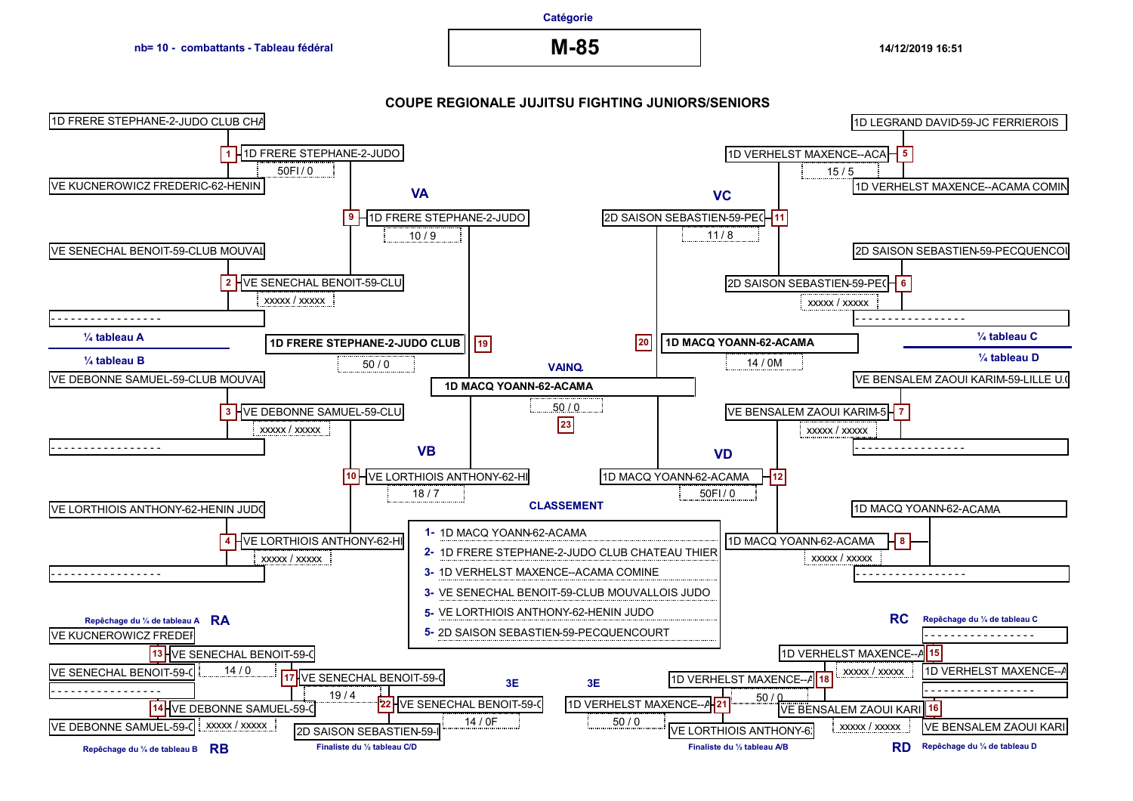#### **Catégorie**

**M-85**

**14/12/2019 16:51**

#### **COUPE REGIONALE JUJITSU FIGHTING JUNIORS/SENIORS**

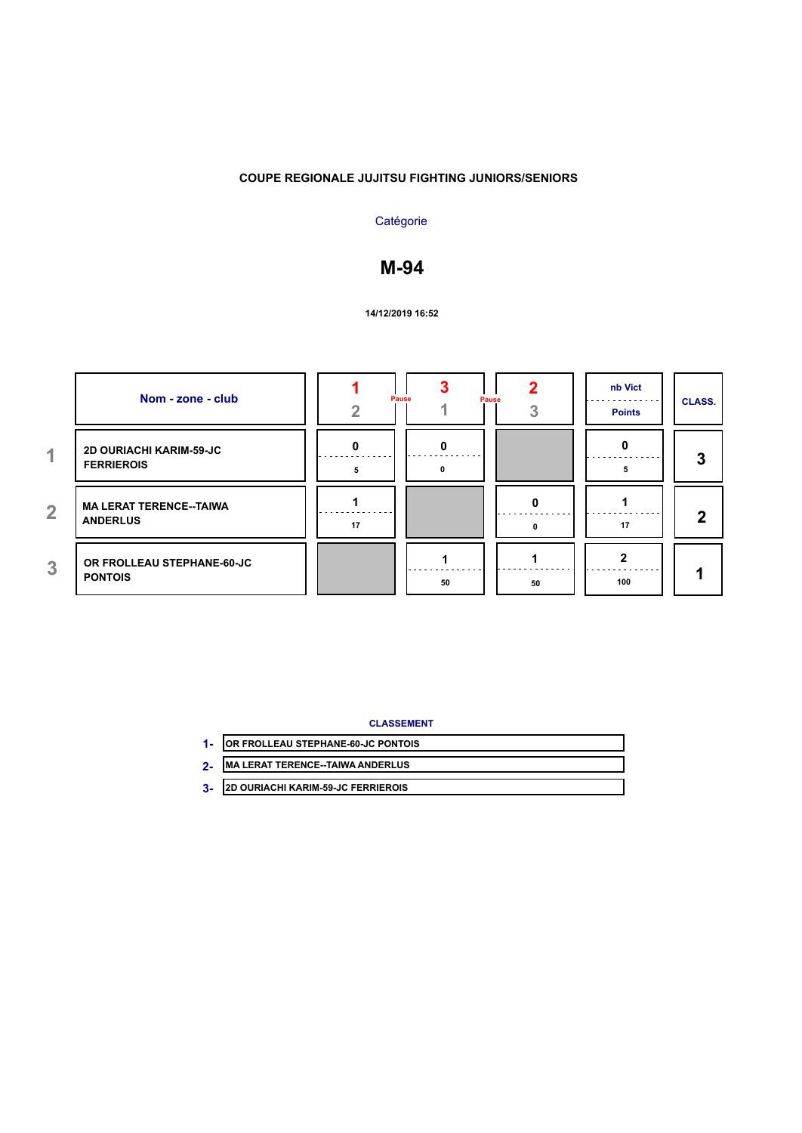## **Catégorie**

## **M-94**

#### **14/12/2019 16:52**

|                | Nom - zone - club                                   |    | Pause<br>Pause |    | nb Vict<br><b>Points</b> | <b>CLASS.</b> |
|----------------|-----------------------------------------------------|----|----------------|----|--------------------------|---------------|
| $\overline{1}$ | <b>2D OURIACHI KARIM-59-JC</b><br><b>FERRIEROIS</b> | n  | O              |    |                          | 3             |
| $\overline{2}$ | <b>MA LERAT TERENCE--TAIWA</b><br><b>ANDERLUS</b>   | 17 |                |    | 17                       | $\mathbf 2$   |
| 3              | OR FROLLEAU STEPHANE-60-JC<br><b>PONTOIS</b>        |    | 50             | 50 | 100                      |               |

#### **CLASSEMENT**

| OR FROLLEAU STEPHANE-60-JC PONTOIS       |
|------------------------------------------|
| <b>IMA LERAT TERENCE--TAIWA ANDERLUS</b> |

**2D OURIACHI KARIM-59-JC FERRIEROIS 3-**